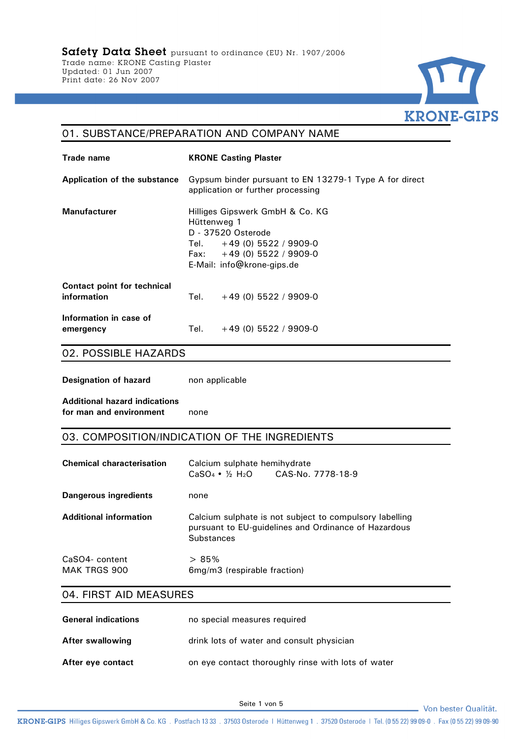

#### 01. SUBSTANCE/PREPARATION AND COMPANY NAME

| Trade name                                 | <b>KRONE Casting Plaster</b>                                                                                                                                     |
|--------------------------------------------|------------------------------------------------------------------------------------------------------------------------------------------------------------------|
| Application of the substance               | Gypsum binder pursuant to EN 13279-1 Type A for direct<br>application or further processing                                                                      |
| <b>Manufacturer</b>                        | Hilliges Gipswerk GmbH & Co. KG<br>Hüttenweg 1<br>D - 37520 Osterode<br>Tel. $+49(0)$ 5522 / 9909-0<br>Fax: $+49(0)$ 5522 / 9909-0<br>E-Mail: info@krone-gips.de |
| Contact point for technical<br>information | Tel. $+49(0)$ 5522 / 9909-0                                                                                                                                      |
| Information in case of<br>emergency        | Tel.<br>$+49(0)$ 5522 / 9909-0                                                                                                                                   |

### 02. POSSIBLE HAZARDS

**Designation of hazard** non applicable

**Additional hazard indications for man and environment** none

#### 03. COMPOSITION/INDICATION OF THE INGREDIENTS

| <b>Chemical characterisation</b> | Calcium sulphate hemihydrate<br>CAS-No. 7778-18-9<br>$CaSO_4$ • $\frac{1}{2}$ H <sub>2</sub> O                                       |
|----------------------------------|--------------------------------------------------------------------------------------------------------------------------------------|
| Dangerous ingredients            | none                                                                                                                                 |
| <b>Additional information</b>    | Calcium sulphate is not subject to compulsory labelling<br>pursuant to EU-guidelines and Ordinance of Hazardous<br><b>Substances</b> |
| CaSO4- content<br>MAK TRGS 900   | >85%<br>6mg/m3 (respirable fraction)                                                                                                 |

## 04. FIRST AID MEASURES

| <b>General indications</b> | no special measures required                       |
|----------------------------|----------------------------------------------------|
| After swallowing           | drink lots of water and consult physician          |
| After eye contact          | on eye contact thoroughly rinse with lots of water |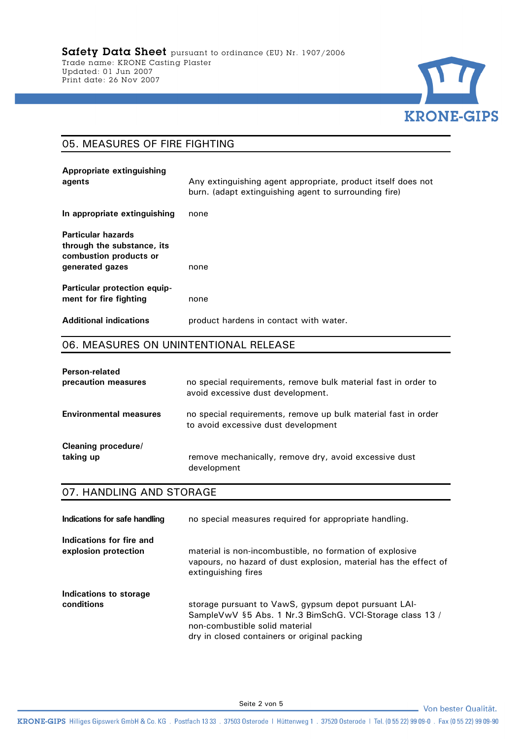

# 05. MEASURES OF FIRE FIGHTING

| Appropriate extinguishing<br>agents                                                                  | Any extinguishing agent appropriate, product itself does not<br>burn. (adapt extinguishing agent to surrounding fire) |
|------------------------------------------------------------------------------------------------------|-----------------------------------------------------------------------------------------------------------------------|
| In appropriate extinguishing                                                                         | none                                                                                                                  |
| <b>Particular hazards</b><br>through the substance, its<br>combustion products or<br>generated gazes | none                                                                                                                  |
| <b>Particular protection equip-</b><br>ment for fire fighting                                        | none                                                                                                                  |
| <b>Additional indications</b>                                                                        | product hardens in contact with water.                                                                                |

### 06. MEASURES ON UNINTENTIONAL RELEASE

| Person-related                | no special requirements, remove bulk material fast in order to                                        |
|-------------------------------|-------------------------------------------------------------------------------------------------------|
| precaution measures           | avoid excessive dust development.                                                                     |
| <b>Environmental measures</b> | no special requirements, remove up bulk material fast in order<br>to avoid excessive dust development |
| Cleaning procedure/           | remove mechanically, remove dry, avoid excessive dust                                                 |
| taking up                     | development                                                                                           |

# 07. HANDLING AND STORAGE

| Indications for safe handling                    | no special measures required for appropriate handling.                                                                                                                                             |
|--------------------------------------------------|----------------------------------------------------------------------------------------------------------------------------------------------------------------------------------------------------|
| Indications for fire and<br>explosion protection | material is non-incombustible, no formation of explosive<br>vapours, no hazard of dust explosion, material has the effect of<br>extinguishing fires                                                |
| Indications to storage<br>conditions             | storage pursuant to VawS, gypsum depot pursuant LAI-<br>SampleVwV §5 Abs. 1 Nr.3 BimSchG. VCI-Storage class 13 /<br>non-combustible solid material<br>dry in closed containers or original packing |

Von bester Qualität.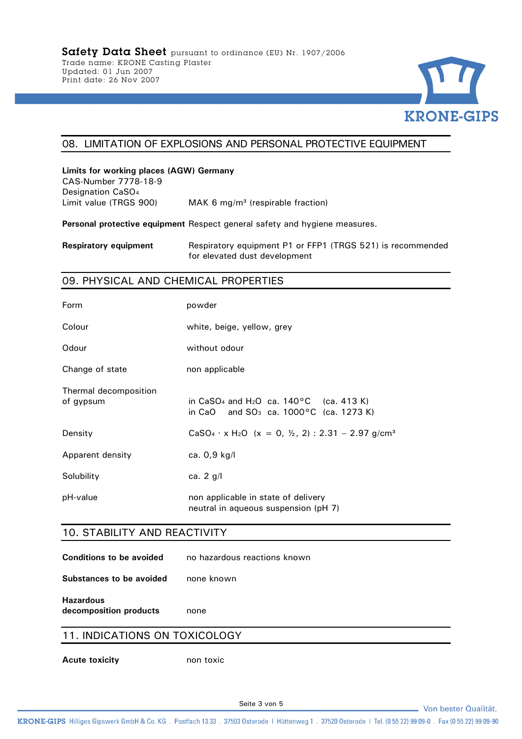

## 08. LIMITATION OF EXPLOSIONS AND PERSONAL PROTECTIVE EQUIPMENT

# **Limits for working places (AGW) Germany**

CAS-Number 7778-18-9 Designation CaSO<sub>4</sub> Limit value (TRGS 900) MAK 6 mg/m<sup>3</sup> (respirable fraction)

**Personal protective equipment** Respect general safety and hygiene measures.

**Respiratory equipment** Respiratory equipment P1 or FFP1 (TRGS 521) is recommended for elevated dust development

#### 09. PHYSICAL AND CHEMICAL PROPERTIES

| Form                               | powder                                                                                                                           |
|------------------------------------|----------------------------------------------------------------------------------------------------------------------------------|
| Colour                             | white, beige, yellow, grey                                                                                                       |
| Odour                              | without odour                                                                                                                    |
| Change of state                    | non applicable                                                                                                                   |
| Thermal decomposition<br>of gypsum | in CaSO <sub>4</sub> and H <sub>2</sub> O ca. $140^{\circ}$ C (ca. 413 K)<br>in CaO and SO <sub>3</sub> ca. 1000 °C (ca. 1273 K) |
| Density                            | CaSO <sub>4</sub> · x H <sub>2</sub> O (x = 0, $\frac{1}{2}$ , 2) : 2.31 - 2.97 g/cm <sup>3</sup>                                |
| Apparent density                   | ca. $0,9$ kg/l                                                                                                                   |
| Solubility                         | ca. $2$ g/l                                                                                                                      |
| pH-value                           | non applicable in state of delivery<br>neutral in aqueous suspension (pH 7)                                                      |

#### 10. STABILITY AND REACTIVITY

| <b>Conditions to be avoided</b> | no hazardous reactions known |
|---------------------------------|------------------------------|
|                                 |                              |

**Substances to be avoided** none known

**Hazardous** 

**decomposition products** none

# 11. INDICATIONS ON TOXICOLOGY

**Acute toxicity** non toxic

Von bester Qualität.

KRONE-GIPS Hilliges Gipswerk GmbH & Co. KG . Postfach 13 33 . 37503 Osterode | Hüttenweg 1 . 37520 Osterode | Tel. (0 55 22) 99 09-0 . Fax (0 55 22) 99 09-0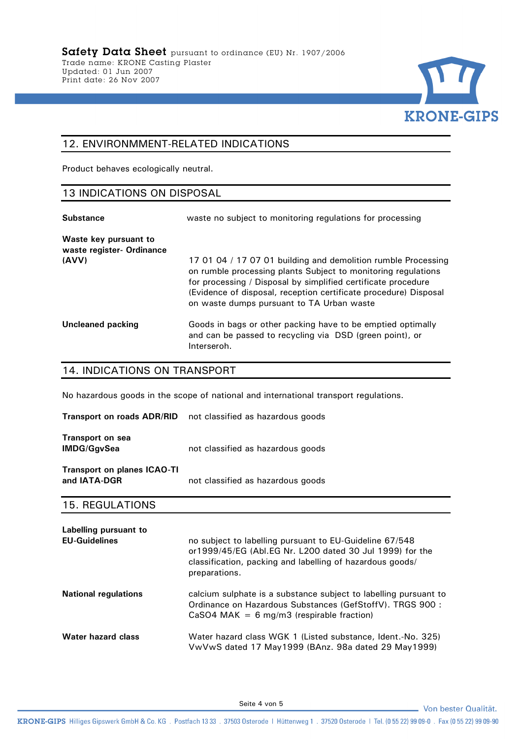

## 12. ENVIRONMMENT-RELATED INDICATIONS

Product behaves ecologically neutral.

#### 13 INDICATIONS ON DISPOSAL

| <b>Substance</b>                                   | waste no subject to monitoring regulations for processing                                                                                                                                                                                                                                                        |
|----------------------------------------------------|------------------------------------------------------------------------------------------------------------------------------------------------------------------------------------------------------------------------------------------------------------------------------------------------------------------|
| Waste key pursuant to<br>waste register- Ordinance |                                                                                                                                                                                                                                                                                                                  |
| (AVV)                                              | 17 01 04 / 17 07 01 building and demolition rumble Processing<br>on rumble processing plants Subject to monitoring regulations<br>for processing / Disposal by simplified certificate procedure<br>(Evidence of disposal, reception certificate procedure) Disposal<br>on waste dumps pursuant to TA Urban waste |
| Uncleaned packing                                  | Goods in bags or other packing have to be emptied optimally<br>and can be passed to recycling via DSD (green point), or<br>Interseroh.                                                                                                                                                                           |

## 14. INDICATIONS ON TRANSPORT

No hazardous goods in the scope of national and international transport regulations.

| <b>Transport on roads ADR/RID</b>                  | not classified as hazardous goods |
|----------------------------------------------------|-----------------------------------|
| <b>Transport on sea</b><br><b>IMDG/GgvSea</b>      | not classified as hazardous goods |
| <b>Transport on planes ICAO-TI</b><br>and IATA-DGR | not classified as hazardous goods |

#### 15. REGULATIONS

| Labelling pursuant to<br><b>EU-Guidelines</b> | no subject to labelling pursuant to EU-Guideline 67/548<br>or 1999/45/EG (Abl. EG Nr. L200 dated 30 Jul 1999) for the<br>classification, packing and labelling of hazardous goods/<br>preparations. |
|-----------------------------------------------|-----------------------------------------------------------------------------------------------------------------------------------------------------------------------------------------------------|
| <b>National regulations</b>                   | calcium sulphate is a substance subject to labelling pursuant to<br>Ordinance on Hazardous Substances (GefStoffV). TRGS 900 :<br>$CaSO4$ MAK = 6 mg/m3 (respirable fraction)                        |
| Water hazard class                            | Water hazard class WGK 1 (Listed substance, Ident.-No. 325)<br>VwVwS dated 17 May1999 (BAnz. 98a dated 29 May1999)                                                                                  |